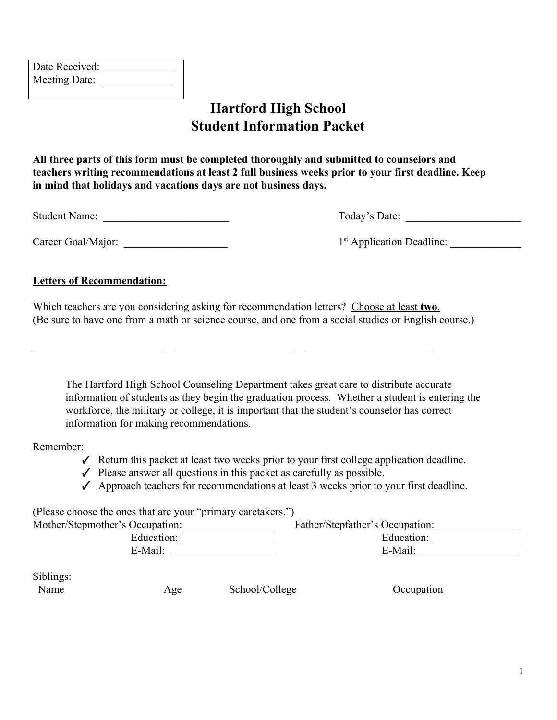| Date Received: |  |
|----------------|--|
| Meeting Date:  |  |

## **Hartford High School Student Information Packet**

**All three parts of this form must be completed thoroughly and submitted to counselors and teachers writing recommendations at least 2 full business weeks prior to your first deadline. Keep in mind that holidays and vacations days are not business days.**

Student Name:  $\Box$  Today's Date:

Career Goal/Major:  $1<sup>st</sup>$  Application Deadline:

#### **Letters of Recommendation:**

Which teachers are you considering asking for recommendation letters? Choose at least **two**. (Be sure to have one from a math or science course, and one from a social studies or English course.)

The Hartford High School Counseling Department takes great care to distribute accurate information of students as they begin the graduation process. Whether a student is entering the workforce, the military or college, it is important that the student's counselor has correct information for making recommendations.

Remember:

- ✓ Return this packet at least two weeks prior to your first college application deadline.
- $\checkmark$  Please answer all questions in this packet as carefully as possible.

 $\_$  , and the set of the set of the set of the set of the set of the set of the set of the set of the set of the set of the set of the set of the set of the set of the set of the set of the set of the set of the set of th

 $\checkmark$  Approach teachers for recommendations at least 3 weeks prior to your first deadline.

| (Please choose the ones that are your "primary caretakers.") |                                 |
|--------------------------------------------------------------|---------------------------------|
| Mother/Stepmother's Occupation:                              | Father/Stepfather's Occupation: |
| Education:                                                   | Education:                      |
| E-Mail:                                                      | E-Mail:                         |
|                                                              |                                 |

Siblings:

Name Age School/College Occupation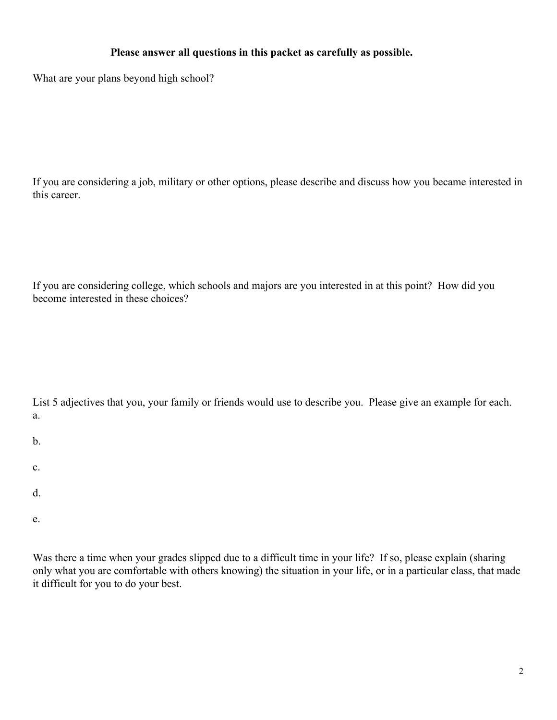### **Please answer all questions in this packet as carefully as possible.**

What are your plans beyond high school?

If you are considering a job, military or other options, please describe and discuss how you became interested in this career.

If you are considering college, which schools and majors are you interested in at this point? How did you become interested in these choices?

| List 5 adjectives that you, your family or friends would use to describe you. Please give an example for each. |  |  |  |
|----------------------------------------------------------------------------------------------------------------|--|--|--|
|                                                                                                                |  |  |  |

- b.
- c.
- 
- d.
- e.

Was there a time when your grades slipped due to a difficult time in your life? If so, please explain (sharing only what you are comfortable with others knowing) the situation in your life, or in a particular class, that made it difficult for you to do your best.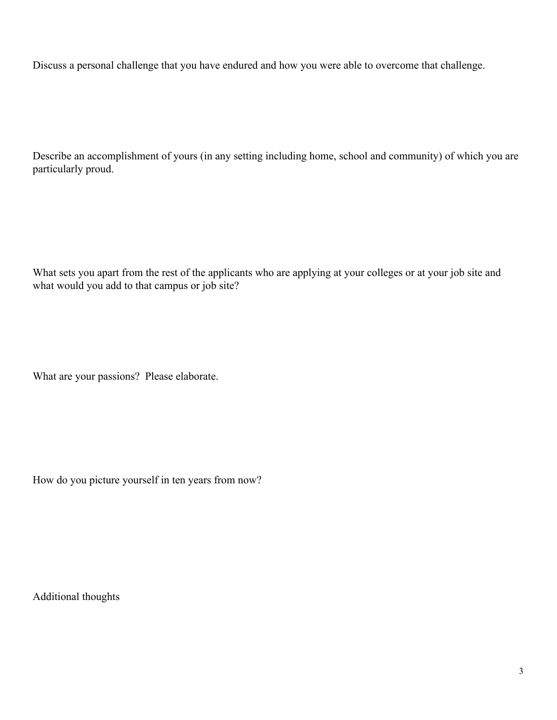Discuss a personal challenge that you have endured and how you were able to overcome that challenge.

Describe an accomplishment of yours (in any setting including home, school and community) of which you are particularly proud.

What sets you apart from the rest of the applicants who are applying at your colleges or at your job site and what would you add to that campus or job site?

What are your passions? Please elaborate.

How do you picture yourself in ten years from now?

Additional thoughts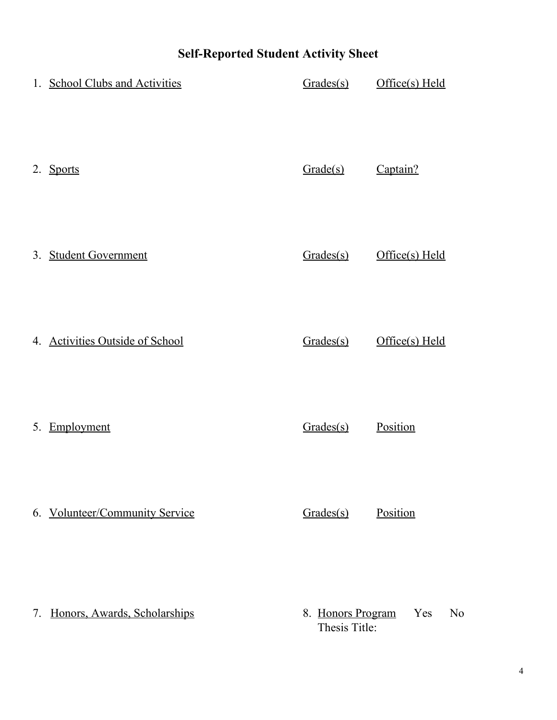# **Self-Reported Student Activity Sheet**

| 1. School Clubs and Activities  | Grades(s)                          | Office(s) Held        |
|---------------------------------|------------------------------------|-----------------------|
| 2. Sports                       | Grade(s)                           | Captain?              |
| 3. Student Government           | Grades(s)                          | Office(s) Held        |
| 4. Activities Outside of School | Grades(s)                          | Office(s) Held        |
| 5. Employment                   | Grades(s)                          | Position              |
| 6. Volunteer/Community Service  | Grades(s)                          | Position              |
| 7. Honors, Awards, Scholarships | 8. Honors Program<br>Thesis Title: | Yes<br>N <sub>0</sub> |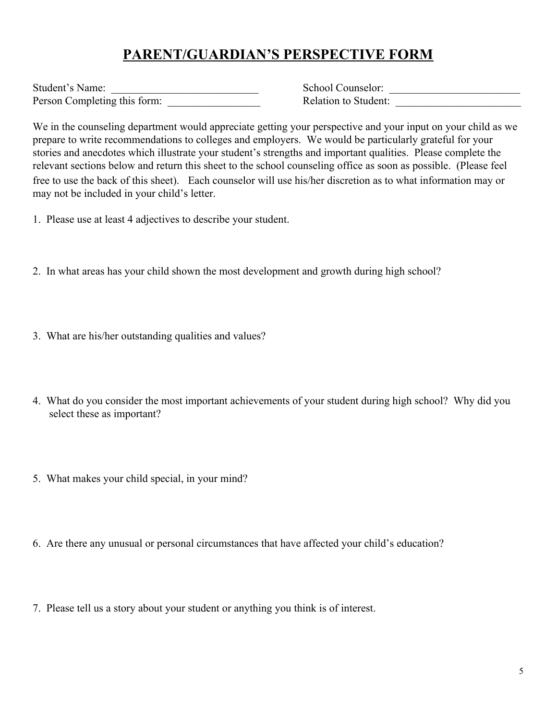## **PARENT/GUARDIAN'S PERSPECTIVE FORM**

| Student's Name:              |  |
|------------------------------|--|
| Person Completing this form: |  |

Student's Name: \_\_\_\_\_\_\_\_\_\_\_\_\_\_\_\_\_\_\_\_\_\_\_\_\_\_\_ School Counselor: \_\_\_\_\_\_\_\_\_\_\_\_\_\_\_\_\_\_\_\_\_\_\_\_ Relation to Student:

We in the counseling department would appreciate getting your perspective and your input on your child as we prepare to write recommendations to colleges and employers. We would be particularly grateful for your stories and anecdotes which illustrate your student's strengths and important qualities. Please complete the relevant sections below and return this sheet to the school counseling office as soon as possible. (Please feel free to use the back of this sheet). Each counselor will use his/her discretion as to what information may or may not be included in your child's letter.

- 1. Please use at least 4 adjectives to describe your student.
- 2. In what areas has your child shown the most development and growth during high school?
- 3. What are his/her outstanding qualities and values?
- 4. What do you consider the most important achievements of your student during high school? Why did you select these as important?
- 5. What makes your child special, in your mind?
- 6. Are there any unusual or personal circumstances that have affected your child's education?
- 7. Please tell us a story about your student or anything you think is of interest.